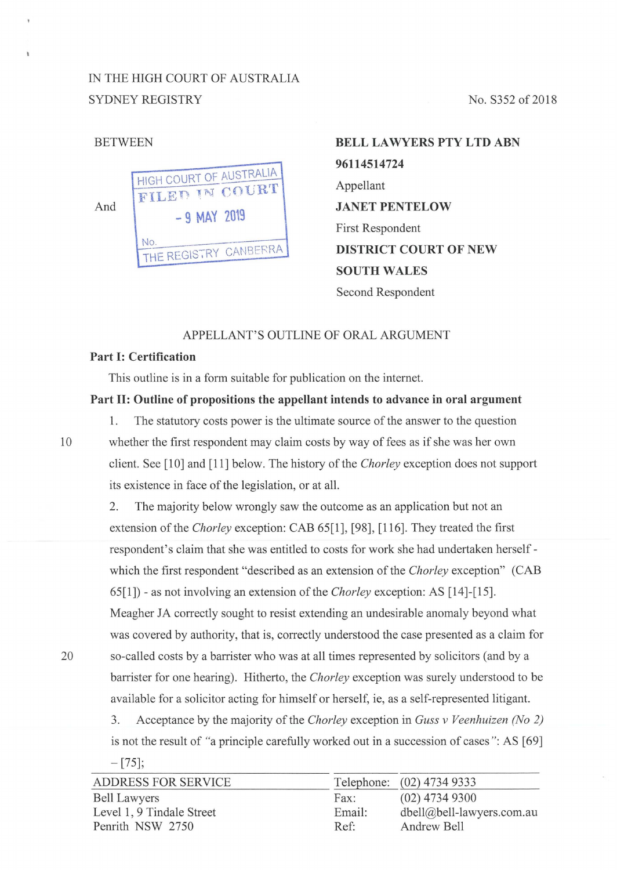### IN THE HIGH COURT OF AUSTRALIA SYDNEY REGISTRY

No. S352 of 2018

## BETWEEN And HIGH COURT OF AUSTRALIA FILED IN COURT - **9 MAY 2m9**  No. THE REGISTRY CANBERRA

# **BELL LA WYERS PTY LTD ABN 96114514724**  Appellant **JANET PENTELOW**  First Respondent **DISTRICT COURT OF NEW SOUTH WALES**  Second Respondent

### APPELLANT'S OUTLINE OF ORAL ARGUMENT

### **Part I: Certification**

This outline is in a form suitable for publication on the internet.

#### **Part II: Outline of propositions the appellant intends to advance in oral argument**

1. The statutory costs power is the ultimate source of the answer to the question 10 whether the first respondent may claim costs by way of fees as if she was her own client. See [10] and [11] below. The history of the *Chorley* exception does not support its existence in face of the legislation, or at all.

2. The majority below wrongly saw the outcome as an application but not an extension of the *Chorley* exception: CAB 65[1], [98], [116]. They treated the first respondent's claim that she was entitled to costs for work she had undertaken herself which the first respondent "described as an extension of the *Chorley* exception" (CAB 65[1]) - as not involving an extension of the *Chorley* exception: AS [14]-[15]. Meagher JA correctly sought to resist extending an undesirable anomaly beyond what was covered by authority, that is, correctly understood the case presented as a claim for 20 so-called costs by a barrister who was at all times represented by solicitors (and by a barrister for one hearing). Hitherto, the *Chorley* exception was surely understood to be available for a solicitor acting for himself or herself, ie, as a self-represented litigant.

> 3. Acceptance by the majority of the *Chorley* exception in *Guss v Veenhuizen (No 2)*  is not the result of "a principle carefully worked out in a succession of cases ": AS [69]

 $-[75];$ 

| $\overline{\phantom{a}}$   |        |                           |
|----------------------------|--------|---------------------------|
| <b>ADDRESS FOR SERVICE</b> |        | Telephone: (02) 4734 9333 |
| <b>Bell Lawyers</b>        | Fax:   | $(02)$ 4734 9300          |
| Level 1, 9 Tindale Street  | Email: | dbell@bell-lawyers.com.au |
| Penrith NSW 2750           | Ref:   | Andrew Bell               |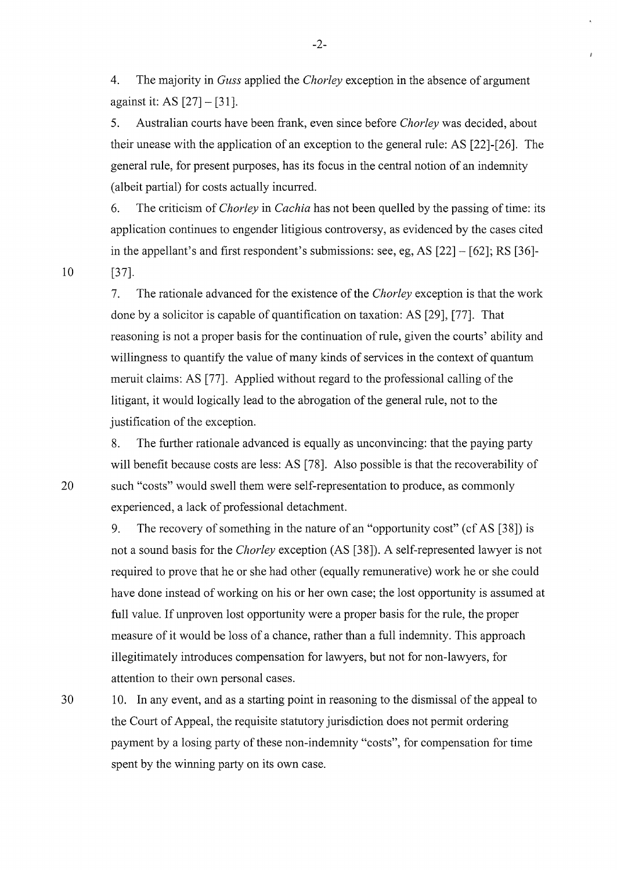4. The majority in *Guss* applied the *Chorley* exception in the absence of argument against it: AS  $[27] - [31]$ .

5. Australian courts have been frank, even since before *Chorley* was decided, about their unease with the application of an exception to the general rule: AS [22]-[26]. The general rule, for present purposes, has its focus in the central notion of an indemnity (albeit partial) for costs actually incurred.

6. The criticism of *Chorley* in *Cachia* has not been quelled by the passing of time: its application continues to engender litigious controversy, as evidenced by the cases cited in the appellant's and first respondent's submissions: see, eg, AS  $[22] - [62]$ ; RS  $[36]$ -10 [37].

7. The rationale advanced for the existence of the *Chorley* exception is that the work done by a solicitor is capable of quantification on taxation: AS [29], [77]. That reasoning is not a proper basis for the continuation of rule, given the courts' ability and willingness to quantify the value of many kinds of services in the context of quantum meruit claims: AS [77]. Applied without regard to the professional calling of the litigant, it would logically lead to the abrogation of the general rule, not to the justification of the exception.

8. The further rationale advanced is equally as unconvincing: that the paying party will benefit because costs are less: AS [78]. Also possible is that the recoverability of 20 such "costs" would swell them were self-representation to produce, as commonly experienced, a lack of professional detachment.

> 9. The recovery of something in the nature of an "opportunity cost" (cf AS [38]) is not a sound basis for the *Chorley* exception (AS [38]). A self-represented lawyer is not required to prove that he or she had other (equally remunerative) work he or she could have done instead of working on his or her own case; the lost opportunity is assumed at full value. If unproven lost opportunity were a proper basis for the rule, the proper measure of it would be loss of a chance, rather than a full indemnity. This approach illegitimately introduces compensation for lawyers, but not for non-lawyers, for attention to their own personal cases.

30 10. In any event, and as a starting point in reasoning to the dismissal of the appeal to the Court of Appeal, the requisite statutory jurisdiction does not permit ordering payment by a losing party of these non-indemnity "costs", for compensation for time spent by the winning party on its own case.